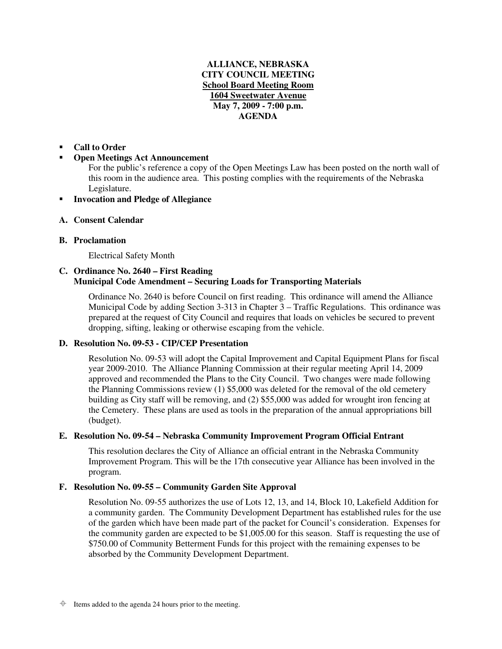## **ALLIANCE, NEBRASKA CITY COUNCIL MEETING School Board Meeting Room 1604 Sweetwater Avenue May 7, 2009 - 7:00 p.m. AGENDA**

#### -**Call to Order**

#### -**Open Meetings Act Announcement**

For the public's reference a copy of the Open Meetings Law has been posted on the north wall of this room in the audience area. This posting complies with the requirements of the Nebraska Legislature.

-**Invocation and Pledge of Allegiance**

## **A. Consent Calendar**

## **B. Proclamation**

Electrical Safety Month

## **C. Ordinance No. 2640 – First Reading Municipal Code Amendment – Securing Loads for Transporting Materials**

Ordinance No. 2640 is before Council on first reading. This ordinance will amend the Alliance Municipal Code by adding Section 3-313 in Chapter 3 – Traffic Regulations. This ordinance was prepared at the request of City Council and requires that loads on vehicles be secured to prevent dropping, sifting, leaking or otherwise escaping from the vehicle.

# **D. Resolution No. 09-53 - CIP/CEP Presentation**

Resolution No. 09-53 will adopt the Capital Improvement and Capital Equipment Plans for fiscal year 2009-2010. The Alliance Planning Commission at their regular meeting April 14, 2009 approved and recommended the Plans to the City Council. Two changes were made following the Planning Commissions review (1) \$5,000 was deleted for the removal of the old cemetery building as City staff will be removing, and (2) \$55,000 was added for wrought iron fencing at the Cemetery. These plans are used as tools in the preparation of the annual appropriations bill (budget).

# **E. Resolution No. 09-54 – Nebraska Community Improvement Program Official Entrant**

This resolution declares the City of Alliance an official entrant in the Nebraska Community Improvement Program. This will be the 17th consecutive year Alliance has been involved in the program.

# **F. Resolution No. 09-55 – Community Garden Site Approval**

Resolution No. 09-55 authorizes the use of Lots 12, 13, and 14, Block 10, Lakefield Addition for a community garden. The Community Development Department has established rules for the use of the garden which have been made part of the packet for Council's consideration. Expenses for the community garden are expected to be \$1,005.00 for this season. Staff is requesting the use of \$750.00 of Community Betterment Funds for this project with the remaining expenses to be absorbed by the Community Development Department.